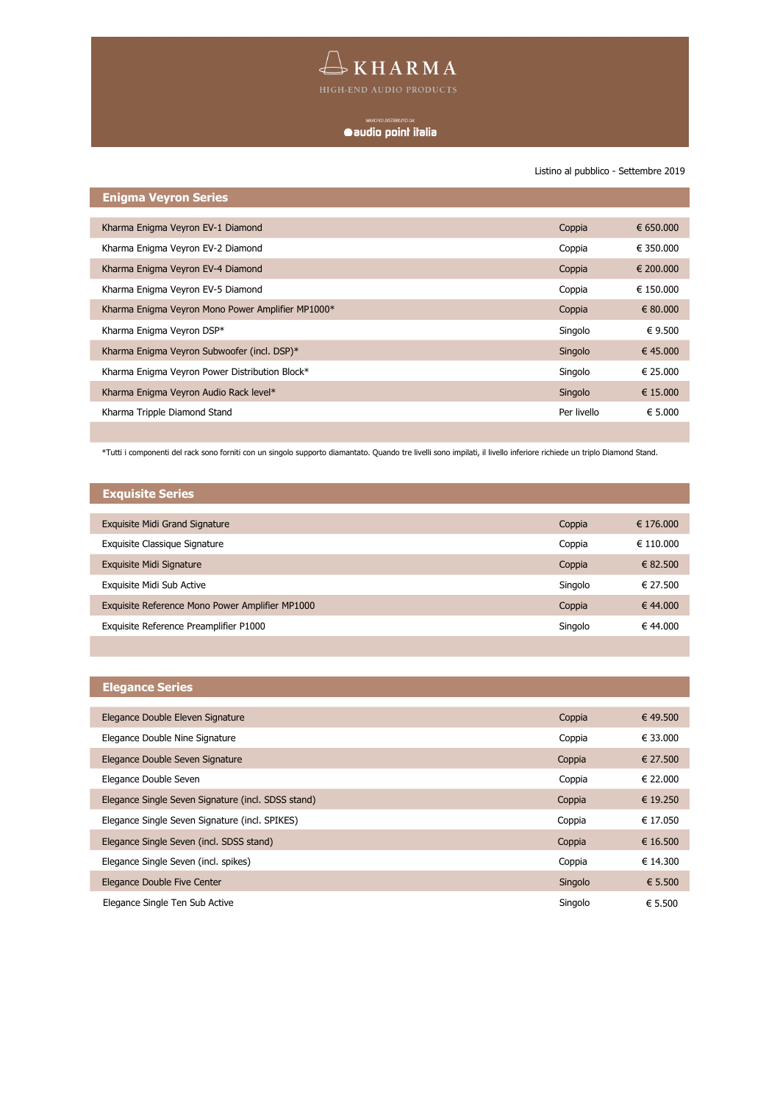## $\begin{tabular}{c} \quad \textcircled{}} \quad \text{KHARMA} \end{tabular}$

### 

Listino al pubblico - Settembre 2019

| <b>Enigma Veyron Series</b>                       |             |           |
|---------------------------------------------------|-------------|-----------|
|                                                   |             |           |
| Kharma Enigma Veyron EV-1 Diamond                 | Coppia      | € 650,000 |
| Kharma Enigma Veyron EV-2 Diamond                 | Coppia      | € 350.000 |
| Kharma Enigma Veyron EV-4 Diamond                 | Coppia      | € 200,000 |
| Kharma Enigma Veyron EV-5 Diamond                 | Coppia      | € 150,000 |
| Kharma Enigma Veyron Mono Power Amplifier MP1000* | Coppia      | € 80,000  |
| Kharma Enigma Veyron DSP*                         | Singolo     | € 9.500   |
| Kharma Enigma Veyron Subwoofer (incl. DSP)*       | Singolo     | € 45,000  |
| Kharma Enigma Veyron Power Distribution Block*    | Singolo     | € 25.000  |
| Kharma Enigma Veyron Audio Rack level*            | Singolo     | € 15,000  |
| Kharma Tripple Diamond Stand                      | Per livello | € 5.000   |
|                                                   |             |           |

\*Tutti i componenti del rack sono forniti con un singolo supporto diamantato. Quando tre livelli sono impilati, il livello inferiore richiede un triplo Diamond Stand.

| <b>Exquisite Series</b>                         |         |           |
|-------------------------------------------------|---------|-----------|
|                                                 |         |           |
| <b>Exquisite Midi Grand Signature</b>           | Coppia  | € 176,000 |
| Exquisite Classique Signature                   | Coppia  | € 110,000 |
| Exquisite Midi Signature                        | Coppia  | € 82.500  |
| Exquisite Midi Sub Active                       | Singolo | € 27.500  |
| Exquisite Reference Mono Power Amplifier MP1000 | Coppia  | € 44.000  |
| Exquisite Reference Preamplifier P1000          | Singolo | € 44.000  |
|                                                 |         |           |

| <b>Elegance Series</b>                             |         |          |
|----------------------------------------------------|---------|----------|
|                                                    |         |          |
| Elegance Double Eleven Signature                   | Coppia  | € 49.500 |
| Elegance Double Nine Signature                     | Coppia  | € 33,000 |
| Elegance Double Seven Signature                    | Coppia  | € 27.500 |
| Elegance Double Seven                              | Coppia  | € 22,000 |
| Elegance Single Seven Signature (incl. SDSS stand) | Coppia  | € 19.250 |
| Elegance Single Seven Signature (incl. SPIKES)     | Coppia  | € 17.050 |
| Elegance Single Seven (incl. SDSS stand)           | Coppia  | € 16.500 |
| Elegance Single Seven (incl. spikes)               | Coppia  | € 14.300 |
| Elegance Double Five Center                        | Singolo | € 5.500  |
| Elegance Single Ten Sub Active                     | Singolo | € 5.500  |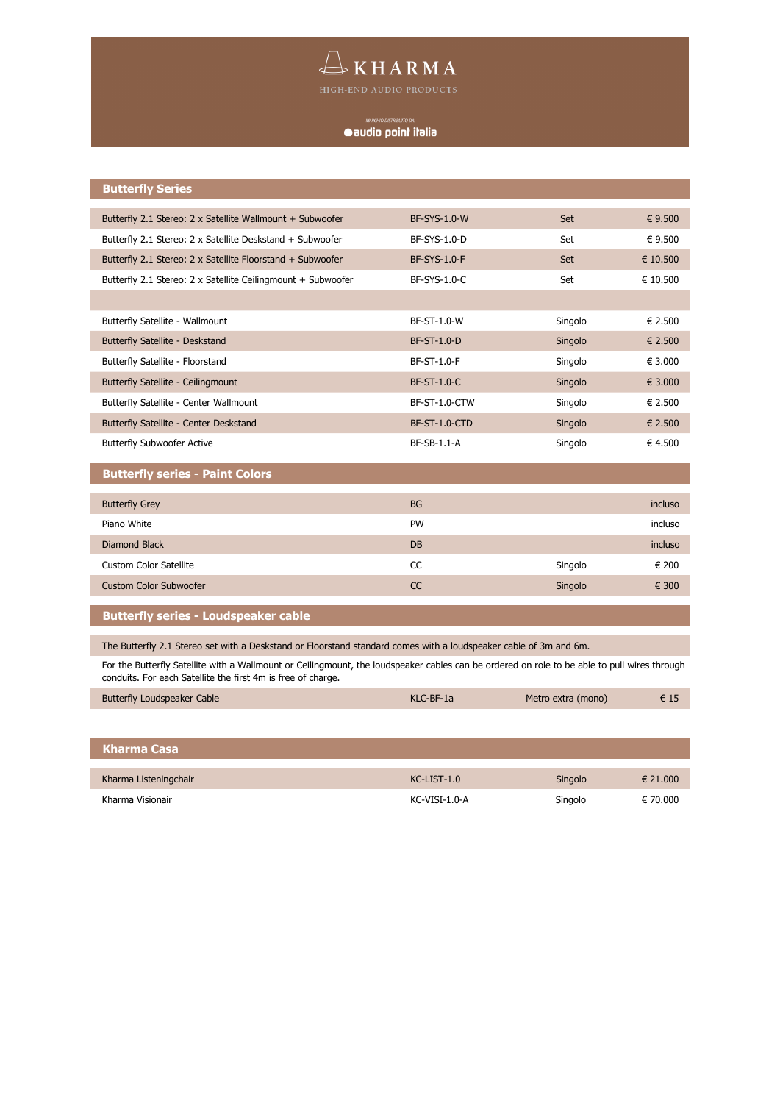# $\begin{tabular}{l} {\displaystyle\bigoplus_{\text{High-END ANDA}} K\text{ HAMA} }\\ \end{tabular}$

## 

| <b>Butterfly Series</b>                                                                                                                                                                                      |                     |                    |          |
|--------------------------------------------------------------------------------------------------------------------------------------------------------------------------------------------------------------|---------------------|--------------------|----------|
|                                                                                                                                                                                                              |                     |                    |          |
| Butterfly 2.1 Stereo: 2 x Satellite Wallmount + Subwoofer                                                                                                                                                    | <b>BF-SYS-1.0-W</b> | Set                | € 9.500  |
| Butterfly 2.1 Stereo: 2 x Satellite Deskstand + Subwoofer                                                                                                                                                    | BF-SYS-1.0-D        | Set                | € 9.500  |
| Butterfly 2.1 Stereo: 2 x Satellite Floorstand + Subwoofer                                                                                                                                                   | <b>BF-SYS-1.0-F</b> | Set                | € 10.500 |
| Butterfly 2.1 Stereo: 2 x Satellite Ceilingmount + Subwoofer                                                                                                                                                 | BF-SYS-1.0-C        | Set                | € 10.500 |
|                                                                                                                                                                                                              |                     |                    |          |
| Butterfly Satellite - Wallmount                                                                                                                                                                              | BF-ST-1.0-W         | Singolo            | € 2.500  |
| Butterfly Satellite - Deskstand                                                                                                                                                                              | <b>BF-ST-1.0-D</b>  | Singolo            | € 2.500  |
| Butterfly Satellite - Floorstand                                                                                                                                                                             | BF-ST-1.0-F         | Singolo            | € 3.000  |
| Butterfly Satellite - Ceilingmount                                                                                                                                                                           | <b>BF-ST-1.0-C</b>  | Singolo            | € 3.000  |
| Butterfly Satellite - Center Wallmount                                                                                                                                                                       | BF-ST-1.0-CTW       | Singolo            | € 2.500  |
| Butterfly Satellite - Center Deskstand                                                                                                                                                                       | BF-ST-1.0-CTD       | Singolo            | € 2.500  |
| <b>Butterfly Subwoofer Active</b>                                                                                                                                                                            | BF-SB-1.1-A         | Singolo            | € 4.500  |
| <b>Butterfly series - Paint Colors</b>                                                                                                                                                                       |                     |                    |          |
| <b>Butterfly Grey</b>                                                                                                                                                                                        | <b>BG</b>           |                    | incluso  |
| Piano White                                                                                                                                                                                                  | PW                  |                    | incluso  |
| <b>Diamond Black</b>                                                                                                                                                                                         | <b>DB</b>           |                    | incluso  |
| <b>Custom Color Satellite</b>                                                                                                                                                                                | CC                  | Singolo            | € 200    |
| <b>Custom Color Subwoofer</b>                                                                                                                                                                                | CC                  | Singolo            | € 300    |
| <b>Butterfly series - Loudspeaker cable</b>                                                                                                                                                                  |                     |                    |          |
| The Butterfly 2.1 Stereo set with a Deskstand or Floorstand standard comes with a loudspeaker cable of 3m and 6m.                                                                                            |                     |                    |          |
| For the Butterfly Satellite with a Wallmount or Ceilingmount, the loudspeaker cables can be ordered on role to be able to pull wires through<br>conduits. For each Satellite the first 4m is free of charge. |                     |                    |          |
| <b>Butterfly Loudspeaker Cable</b>                                                                                                                                                                           | KLC-BF-1a           | Metro extra (mono) | € 15     |

| ' Kharma Casa         |                   |         |          |
|-----------------------|-------------------|---------|----------|
|                       |                   |         |          |
| Kharma Listeningchair | $KC$ -LIST- $1.0$ | Singolo | € 21.000 |
| Kharma Visionair      | KC-VISI-1.0-A     | Singolo | € 70.000 |

I